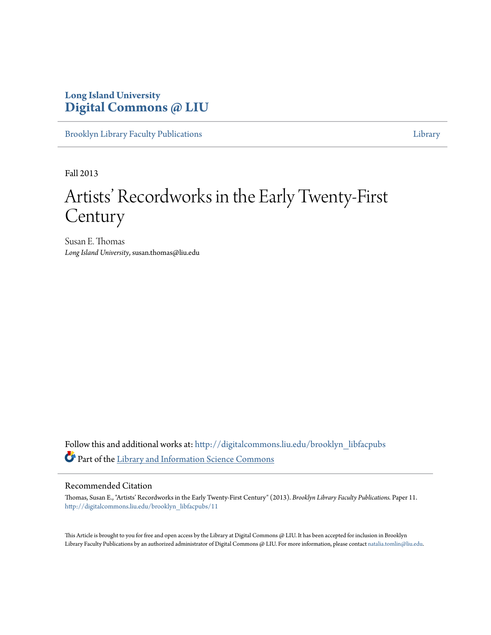# **Long Island University [Digital Commons @ LIU](http://digitalcommons.liu.edu?utm_source=digitalcommons.liu.edu%2Fbrooklyn_libfacpubs%2F11&utm_medium=PDF&utm_campaign=PDFCoverPages)**

[Brooklyn Library Faculty Publications](http://digitalcommons.liu.edu/brooklyn_libfacpubs?utm_source=digitalcommons.liu.edu%2Fbrooklyn_libfacpubs%2F11&utm_medium=PDF&utm_campaign=PDFCoverPages) **[Library](http://digitalcommons.liu.edu/brooklyn_library?utm_source=digitalcommons.liu.edu%2Fbrooklyn_libfacpubs%2F11&utm_medium=PDF&utm_campaign=PDFCoverPages)** Library

Fall 2013

# Artists' Recordworks in the Early Twenty-First **Century**

Susan E. Thomas *Long Island University*, susan.thomas@liu.edu

Follow this and additional works at: [http://digitalcommons.liu.edu/brooklyn\\_libfacpubs](http://digitalcommons.liu.edu/brooklyn_libfacpubs?utm_source=digitalcommons.liu.edu%2Fbrooklyn_libfacpubs%2F11&utm_medium=PDF&utm_campaign=PDFCoverPages) Part of the [Library and Information Science Commons](http://network.bepress.com/hgg/discipline/1018?utm_source=digitalcommons.liu.edu%2Fbrooklyn_libfacpubs%2F11&utm_medium=PDF&utm_campaign=PDFCoverPages)

## Recommended Citation

Thomas, Susan E., "Artists' Recordworks in the Early Twenty-First Century" (2013). *Brooklyn Library Faculty Publications.* Paper 11. [http://digitalcommons.liu.edu/brooklyn\\_libfacpubs/11](http://digitalcommons.liu.edu/brooklyn_libfacpubs/11?utm_source=digitalcommons.liu.edu%2Fbrooklyn_libfacpubs%2F11&utm_medium=PDF&utm_campaign=PDFCoverPages)

This Article is brought to you for free and open access by the Library at Digital Commons @ LIU. It has been accepted for inclusion in Brooklyn Library Faculty Publications by an authorized administrator of Digital Commons @ LIU. For more information, please contact [natalia.tomlin@liu.edu](mailto:natalia.tomlin@liu.edu).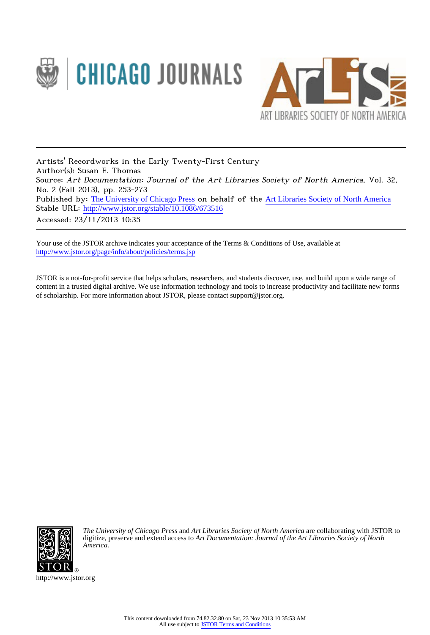



Artists' Recordworks in the Early Twenty-First Century Author(s): Susan E. Thomas Source: Art Documentation: Journal of the Art Libraries Society of North America, Vol. 32, No. 2 (Fall 2013), pp. 253-273 Published by: [The University of Chicago Press](http://www.jstor.org/action/showPublisher?publisherCode=ucpress) on behalf of the [Art Libraries Society of North America](http://www.jstor.org/action/showPublisher?publisherCode=arlisna) Stable URL: http://www.jstor.org/stable/10.1086/673516 Accessed: 23/11/2013 10:35

Your use of the JSTOR archive indicates your acceptance of the Terms & Conditions of Use, available at <http://www.jstor.org/page/info/about/policies/terms.jsp>

JSTOR is a not-for-profit service that helps scholars, researchers, and students discover, use, and build upon a wide range of content in a trusted digital archive. We use information technology and tools to increase productivity and facilitate new forms of scholarship. For more information about JSTOR, please contact support@jstor.org.



*The University of Chicago Press* and *Art Libraries Society of North America* are collaborating with JSTOR to digitize, preserve and extend access to *Art Documentation: Journal of the Art Libraries Society of North America.*

http://www.jstor.org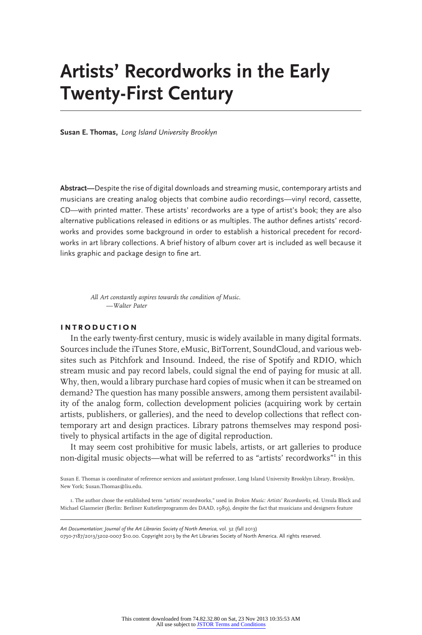# **Artists' Recordworks in the Early Twenty-First Century**

**Susan E. Thomas,** *Long Island University Brooklyn*

**Abstract—**Despite the rise of digital downloads and streaming music, contemporary artists and musicians are creating analog objects that combine audio recordings—vinyl record, cassette, CD—with printed matter. These artists' recordworks are a type of artist's book; they are also alternative publications released in editions or as multiples. The author defines artists' recordworks and provides some background in order to establish a historical precedent for recordworks in art library collections. A brief history of album cover art is included as well because it links graphic and package design to fine art.

*All Art constantly aspires towards the condition of Music.* —*Walter Pater*

## **introduction**

In the early twenty-first century, music is widely available in many digital formats. Sources include the iTunes Store, eMusic, BitTorrent, SoundCloud, and various websites such as Pitchfork and Insound. Indeed, the rise of Spotify and RDIO, which stream music and pay record labels, could signal the end of paying for music at all. Why, then, would a library purchase hard copies of music when it can be streamed on demand? The question has many possible answers, among them persistent availability of the analog form, collection development policies (acquiring work by certain artists, publishers, or galleries), and the need to develop collections that reflect contemporary art and design practices. Library patrons themselves may respond positively to physical artifacts in the age of digital reproduction.

It may seem cost prohibitive for music labels, artists, or art galleries to produce non-digital music objects—what will be referred to as "artists' recordworks"<sup>1</sup> in this

1. The author chose the established term "artists' recordworks," used in *Broken Music: Artists' Recordworks*, ed. Ursula Block and Michael Glasmeier (Berlin: Berliner Kunstlerprogramm des DAAD, 1989), despite the fact that musicians and designers feature

*Art Documentation: Journal of the Art Libraries Society of North America,* vol. 32 (fall 2013) 0730-7187/2013/3202-0007 \$10.00. Copyright 2013 by the Art Libraries Society of North America. All rights reserved.

Susan E. Thomas is coordinator of reference services and assistant professor, Long Island University Brooklyn Library, Brooklyn, New York; Susan.Thomas@liu.edu.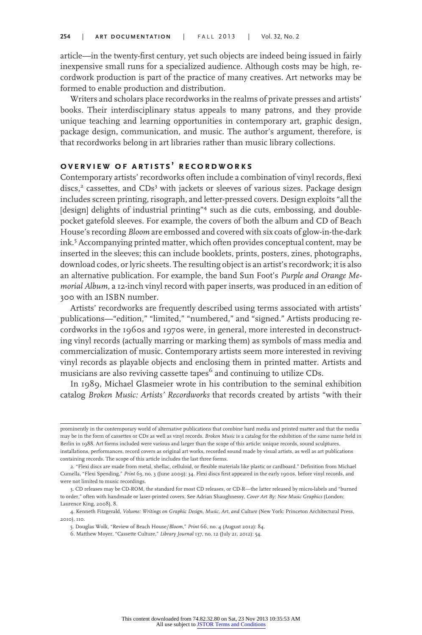article—in the twenty-first century, yet such objects are indeed being issued in fairly inexpensive small runs for a specialized audience. Although costs may be high, recordwork production is part of the practice of many creatives. Art networks may be formed to enable production and distribution.

Writers and scholars place recordworks in the realms of private presses and artists' books. Their interdisciplinary status appeals to many patrons, and they provide unique teaching and learning opportunities in contemporary art, graphic design, package design, communication, and music. The author's argument, therefore, is that recordworks belong in art libraries rather than music library collections.

## **overview of artists' recordworks**

Contemporary artists' recordworks often include a combination of vinyl records, flexi discs,<sup>2</sup> cassettes, and CDs<sup>3</sup> with jackets or sleeves of various sizes. Package design includes screen printing, risograph, and letter-pressed covers. Design exploits "all the [design] delights of industrial printing"<sup>4</sup> such as die cuts, embossing, and doublepocket gatefold sleeves. For example, the covers of both the album and CD of Beach House's recording *Bloom* are embossed and covered with six coats of glow-in-the-dark ink.<sup>5</sup> Accompanying printed matter, which often provides conceptual content, may be inserted in the sleeves; this can include booklets, prints, posters, zines, photographs, download codes, or lyric sheets. The resulting object is an artist's recordwork; it is also an alternative publication. For example, the band Sun Foot's *Purple and Orange Memorial Album,* a 12-inch vinyl record with paper inserts, was produced in an edition of 300 with an ISBN number.

Artists' recordworks are frequently described using terms associated with artists' publications—"edition," "limited," "numbered," and "signed." Artists producing recordworks in the 1960s and 1970s were, in general, more interested in deconstructing vinyl records (actually marring or marking them) as symbols of mass media and commercialization of music. Contemporary artists seem more interested in reviving vinyl records as playable objects and enclosing them in printed matter. Artists and musicians are also reviving cassette tapes<sup>6</sup> and continuing to utilize CDs.

In 1989, Michael Glasmeier wrote in his contribution to the seminal exhibition catalog *Broken Music: Artists' Recordworks* that records created by artists "with their

prominently in the contemporary world of alternative publications that combine hard media and printed matter and that the media may be in the form of cassettes or CDs as well as vinyl records. *Broken Music* is a catalog for the exhibition of the same name held in Berlin in 1988. Art forms included were various and larger than the scope of this article: unique records, sound sculptures, installations, performances, record covers as original art works, recorded sound made by visual artists, as well as art publications containing records. The scope of this article includes the last three forms.

<sup>2. &</sup>quot;Flexi discs are made from metal, shellac, celluloid, or flexible materials like plastic or cardboard." Definition from Michael Cumella, "Flexi Spending," *Print* 63, no. 3 (June 2009): 34. Flexi discs first appeared in the early 1900s, before vinyl records, and were not limited to music recordings.

<sup>3.</sup> CD releases may be CD-ROM, the standard for most CD releases, or CD-R—the latter released by micro-labels and "burned to order," often with handmade or laser-printed covers. See Adrian Shaughnessy, *Cover Art By: New Music Graphics* (London: Laurence King, 2008), 8.

<sup>4.</sup> Kenneth Fitzgerald, *Volume: Writings on Graphic Design, Music, Art, and Culture* (New York: Princeton Architectural Press, 2010), 110.

<sup>5.</sup> Douglas Wolk, "Review of Beach House/*Bloom*," *Print* 66, no. 4 (August 2012): 84.

<sup>6.</sup> Matthew Moyer, "Cassette Culture," *Library Journal* 137, no. 12 (July 21, 2012): 54.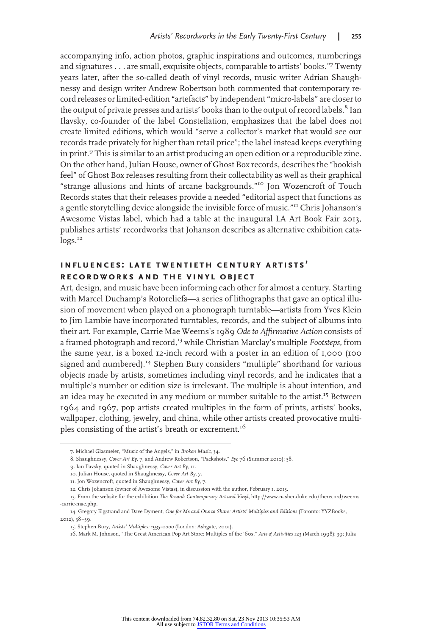accompanying info, action photos, graphic inspirations and outcomes, numberings and signatures . . . are small, exquisite objects, comparable to artists' books."7 Twenty years later, after the so-called death of vinyl records, music writer Adrian Shaughnessy and design writer Andrew Robertson both commented that contemporary record releases or limited-edition "artefacts" by independent "micro-labels" are closer to the output of private presses and artists' books than to the output of record labels.<sup>8</sup> Ian Ilavsky, co-founder of the label Constellation, emphasizes that the label does not create limited editions, which would "serve a collector's market that would see our records trade privately for higher than retail price"; the label instead keeps everything in print.<sup>9</sup> This is similar to an artist producing an open edition or a reproducible zine. On the other hand, Julian House, owner of Ghost Box records, describes the "bookish feel" of Ghost Box releases resulting from their collectability as well as their graphical "strange allusions and hints of arcane backgrounds."<sup>10</sup> Jon Wozencroft of Touch Records states that their releases provide a needed "editorial aspect that functions as a gentle storytelling device alongside the invisible force of music."<sup>11</sup> Chris Johanson's Awesome Vistas label, which had a table at the inaugural LA Art Book Fair 2013, publishes artists' recordworks that Johanson describes as alternative exhibition cata- $\log s$ <sup>12</sup>

## **influences: late twentieth century artists' recordworks and the vinyl object**

Art, design, and music have been informing each other for almost a century. Starting with Marcel Duchamp's Rotoreliefs—a series of lithographs that gave an optical illusion of movement when played on a phonograph turntable—artists from Yves Klein to Jim Lambie have incorporated turntables, records, and the subject of albums into their art. For example, Carrie Mae Weems's 1989 *Ode to Affirmative Action* consists of a framed photograph and record,<sup>13</sup> while Christian Marclay's multiple *Footsteps*, from the same year, is a boxed 12-inch record with a poster in an edition of 1,000 (100 signed and numbered).<sup>14</sup> Stephen Bury considers "multiple" shorthand for various objects made by artists, sometimes including vinyl records, and he indicates that a multiple's number or edition size is irrelevant. The multiple is about intention, and an idea may be executed in any medium or number suitable to the artist.1<sup>5</sup> Between 1964 and 1967, pop artists created multiples in the form of prints, artists' books, wallpaper, clothing, jewelry, and china, while other artists created provocative multiples consisting of the artist's breath or excrement.<sup>16</sup>

This content downloaded from 74.82.32.80 on Sat, 23 Nov 2013 10:35:53 AM All use subject to [JSTOR Terms and Conditions](http://www.jstor.org/page/info/about/policies/terms.jsp)

<sup>7.</sup> Michael Glasmeier, "Music of the Angels," in *Broken Music*, 34.

<sup>8.</sup> Shaughnessy, *Cover Art By,* 7, and Andrew Robertson, "Packshots," *Eye* 76 (Summer 2010): 58.

<sup>9.</sup> Ian Ilavsky, quoted in Shaughnessy, *Cover Art By*, 11.

<sup>1</sup>0. Julian House, quoted in Shaughnessy, *Cover Art By*, 7.

<sup>11</sup>. Jon Wozencroft, quoted in Shaughnessy, *Cover Art By*, 7.

<sup>1</sup>2. Chris Johanson (owner of Awesome Vistas), in discussion with the author, February 1, 2013.

<sup>1</sup>3. From the website for the exhibition *The Record: Contemporary Art and Vinyl*, [http://www.nasher.duke.edu/therecord/weems](http://www.nasher.duke.edu/therecord/weems-carrie-mae.php) [-carrie-mae.php.](http://www.nasher.duke.edu/therecord/weems-carrie-mae.php)

<sup>1</sup>4. Gregory Elgstrand and Dave Dyment, *One for Me and One to Share: Artists' Multiples and Editions* (Toronto: YYZBooks, 2012), 38 –39.

<sup>1</sup>5. Stephen Bury, *Artists' Multiples: 1935–2000* (London: Ashgate, 2001).

<sup>1</sup>6. Mark M. Johnson, "The Great American Pop Art Store: Multiples of the '60s," *Arts & Activities* 123 (March 1998): 39; Julia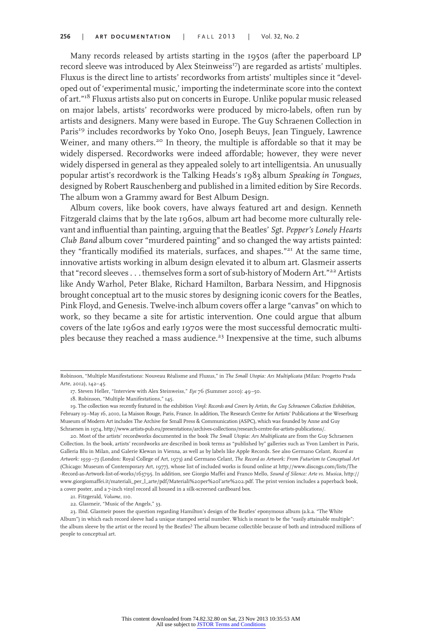Many records released by artists starting in the 1950s (after the paperboard LP record sleeve was introduced by Alex Steinweiss<sup>17</sup>) are regarded as artists' multiples. Fluxus is the direct line to artists' recordworks from artists' multiples since it "developed out of 'experimental music,' importing the indeterminate score into the context of art."<sup>18</sup> Fluxus artists also put on concerts in Europe. Unlike popular music released on major labels, artists' recordworks were produced by micro-labels, often run by artists and designers. Many were based in Europe. The Guy Schraenen Collection in Paris<sup>19</sup> includes recordworks by Yoko Ono, Joseph Beuys, Jean Tinguely, Lawrence Weiner, and many others.<sup>20</sup> In theory, the multiple is affordable so that it may be widely dispersed. Recordworks were indeed affordable; however, they were never widely dispersed in general as they appealed solely to art intelligentsia. An unusually popular artist's recordwork is the Talking Heads's 1983 album *Speaking in Tongues*, designed by Robert Rauschenberg and published in a limited edition by Sire Records. The album won a Grammy award for Best Album Design.

Album covers, like book covers, have always featured art and design. Kenneth Fitzgerald claims that by the late 1960s, album art had become more culturally relevant and influential than painting, arguing that the Beatles' *Sgt. Pepper's Lonely Hearts Club Band* album cover "murdered painting" and so changed the way artists painted: they "frantically modified its materials, surfaces, and shapes."<sup>21</sup> At the same time, innovative artists working in album design elevated it to album art. Glasmeir asserts that "record sleeves . . . themselves form a sort of sub-history of Modern Art."<sup>22</sup> Artists like Andy Warhol, Peter Blake, Richard Hamilton, Barbara Nessim, and Hipgnosis brought conceptual art to the music stores by designing iconic covers for the Beatles, Pink Floyd, and Genesis. Twelve-inch album covers offer a large "canvas" on which to work, so they became a site for artistic intervention. One could argue that album covers of the late 1960s and early 1970s were the most successful democratic multiples because they reached a mass audience.<sup>23</sup> Inexpensive at the time, such albums

20. Most of the artists' recordworks documented in the book *The Small Utopia: Ars Multiplicata* are from the Guy Schraenen Collection. In the book, artists' recordworks are described in book terms as "published by" galleries such as Yvon Lambert in Paris, Galleria Blu in Milan, and Galerie Klewan in Vienna, as well as by labels like Apple Records. See also Germano Celant, *Record as Artwork: 1959 –73* (London: Royal College of Art, 1973) and Germano Celant, *The Record as Artwork: From Futurism to Conceptual Art* (Chicago: Museum of Contemporary Art, 1977), whose list of included works is found online at [http://www.discogs.com/lists/The](http://www.discogs.com/lists/The-Record-as-Artwork-list-of-works/163795) [-Record-as-Artwork-list-of-works/](http://www.discogs.com/lists/The-Record-as-Artwork-list-of-works/163795)163795. In addition, see Giorgio Maffei and Franco Mello, *Sound of Silence: Arte vs. Musica,* [http://](http://www.giorgiomaffei.it/materiali_per_l_arte/pdf/Materiali%20per%20l) [www.giorgiomaffei.it/materiali\\_per\\_l\\_arte/pdf/Materiali%20per%20l'arte%202.pdf.](http://www.giorgiomaffei.it/materiali_per_l_arte/pdf/Materiali%20per%20l) The print version includes a paperback book, a cover poster, and a 7-inch vinyl record all housed in a silk-screened cardboard box.

23. Ibid. Glasmeir poses the question regarding Hamilton's design of the Beatles' eponymous album (a.k.a. "The White Album") in which each record sleeve had a unique stamped serial number. Which is meant to be the "easily attainable multiple": the album sleeve by the artist or the record by the Beatles? The album became collectible because of both and introduced millions of people to conceptual art.

Robinson, "Multiple Manifestations: Nouveau Réalisme and Fluxus," in *The Small Utopia: Ars Multiplicata* (Milan: Progetto Prada Arte, 2012), 142– 45.

<sup>1</sup>7. Steven Heller, "Interview with Alex Steinweiss," *Eye* 76 (Summer 2010): 49 –50.

<sup>1</sup>8. Robinson, "Multiple Manifestations," 145.

<sup>1</sup>9. The collection was recently featured in the exhibition *Vinyl: Records and Covers by Artists, the Guy Schraenen Collection Exhibition*, February 19 –May 16, 2010, La Maison Rouge, Paris, France. In addition, The Research Centre for Artists' Publications at the Weserburg Museum of Modern Art includes The Archive for Small Press & Communication (ASPC), which was founded by Anne and Guy Schraenen in 1974, [http://www.artists-pub.eu/presentations/archives-collections/research-centre-for-artists-publications/.](http://www.artists-pub.eu/presentations/archives-collections/research-centre-for-artists-publications/)

<sup>2</sup>1. Fitzgerald, *Volume*, 110.

<sup>22.</sup> Glasmeir, "Music of the Angels," 33.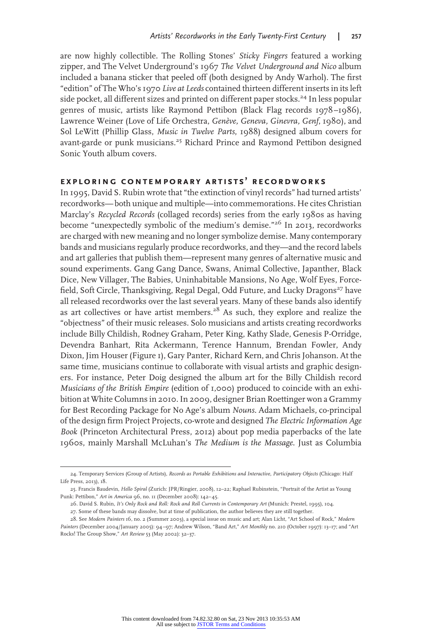are now highly collectible. The Rolling Stones' *Sticky Fingers* featured a working zipper, and The Velvet Underground's 1967 *The Velvet Underground and Nico* album included a banana sticker that peeled off (both designed by Andy Warhol). The first "edition" of The Who's 1970 *Live at Leeds* contained thirteen different inserts in its left side pocket, all different sizes and printed on different paper stocks.<sup>24</sup> In less popular genres of music, artists like Raymond Pettibon (Black Flag records 1978 –1986), Lawrence Weiner (Love of Life Orchestra, *Genève, Geneva, Ginevra, Genf*, 1980), and Sol LeWitt (Phillip Glass, *Music in Twelve Parts*, 1988) designed album covers for avant-garde or punk musicians.<sup>25</sup> Richard Prince and Raymond Pettibon designed Sonic Youth album covers.

### **exploring contemporary artists' recordworks**

In 1995, David S. Rubin wrote that "the extinction of vinyl records" had turned artists' recordworks— both unique and multiple—into commemorations. He cites Christian Marclay's *Recycled Records* (collaged records) series from the early 1980s as having become "unexpectedly symbolic of the medium's demise."<sup>26</sup> In 2013, recordworks are charged with new meaning and no longer symbolize demise. Many contemporary bands and musicians regularly produce recordworks, and they—and the record labels and art galleries that publish them—represent many genres of alternative music and sound experiments. Gang Gang Dance, Swans, Animal Collective, Japanther, Black Dice, New Villager, The Babies, Uninhabitable Mansions, No Age, Wolf Eyes, Forcefield, Soft Circle, Thanksgiving, Regal Degal, Odd Future, and Lucky Dragons<sup>27</sup> have all released recordworks over the last several years. Many of these bands also identify as art collectives or have artist members.<sup>28</sup> As such, they explore and realize the "objectness" of their music releases. Solo musicians and artists creating recordworks include Billy Childish, Rodney Graham, Peter King, Kathy Slade, Genesis P-Orridge, Devendra Banhart, Rita Ackermann, Terence Hannum, Brendan Fowler, Andy Dixon, Jim Houser (Figure 1), Gary Panter, Richard Kern, and Chris Johanson. At the same time, musicians continue to collaborate with visual artists and graphic designers. For instance, Peter Doig designed the album art for the Billy Childish record *Musicians of the British Empire* (edition of 1,000) produced to coincide with an exhibition at White Columns in 2010. In 2009, designer Brian Roettinger won a Grammy for Best Recording Package for No Age's album *Nouns*. Adam Michaels, co-principal of the design firm Project Projects, co-wrote and designed *The Electric Information Age Book* (Princeton Architectural Press, 2012) about pop media paperbacks of the late 1960s, mainly Marshall McLuhan's *The Medium is the Massage*. Just as Columbia

<sup>24.</sup> Temporary Services (Group of Artists), *Records as Portable Exhibitions and Interactive, Participatory Objects* (Chicago: Half Life Press, 2013), 18.

<sup>25.</sup> Francis Baudevin, *Hello Spiral* (Zurich: JPR/Ringier, 2008), 12–22; Raphael Rubinstein, "Portrait of the Artist as Young Punk: Pettibon," *Art in America* 96, no. 11 (December 2008): 142– 45.

<sup>26.</sup> David S. Rubin, *It's Only Rock and Roll: Rock and Roll Currents in Contemporary Art* (Munich: Prestel, 1995), 104. 27. Some of these bands may dissolve, but at time of publication, the author believes they are still together.

<sup>28.</sup> See *Modern Painters* 16, no. 2 (Summer 2003), a special issue on music and art; Alan Licht, "Art School of Rock," *Modern Painters* (December 2004/January 2005): 94 –97; Andrew Wilson, "Band Art," *Art Monthly* no. 210 (October 1997): 13–17; and "Art Rocks! The Group Show," *Art Review* 53 (May 2002): 32–37.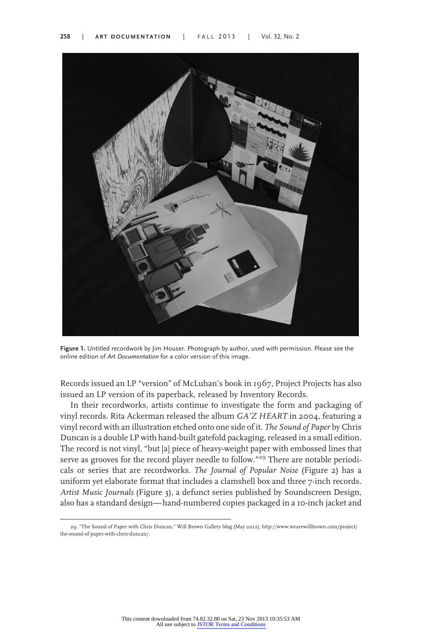

**Figure 1.** Untitled recordwork by Jim Houser. Photograph by author, used with permission. Please see the online edition of *Art Documentation* for a color version of this image.

Records issued an LP "version" of McLuhan's book in 1967, Project Projects has also issued an LP version of its paperback, released by Inventory Records.

In their recordworks, artists continue to investigate the form and packaging of vinyl records. Rita Ackerman released the album *GA'Z HEART* in 2004, featuring a vinyl record with an illustration etched onto one side of it. *The Sound of Paper* by Chris Duncan is a double LP with hand-built gatefold packaging, released in a small edition. The record is not vinyl, "but [a] piece of heavy-weight paper with embossed lines that serve as grooves for the record player needle to follow."<sup>29</sup> There are notable periodicals or series that are recordworks. *The Journal of Popular Noise* (Figure 2) has a uniform yet elaborate format that includes a clamshell box and three 7-inch records. *Artist Music Journals* (Figure 3), a defunct series published by Soundscreen Design, also has a standard design— hand-numbered copies packaged in a 10-inch jacket and

<sup>29. &</sup>quot;The Sound of Paper with Chris Duncan," Will Brown Gallery blog (May 2012), [http://www.wearewillbrown.com/project/](http://www.wearewillbrown.com/project/the-sound-of-paper-with-chris-duncan/) [the-sound-of-paper-with-chris-duncan/.](http://www.wearewillbrown.com/project/the-sound-of-paper-with-chris-duncan/)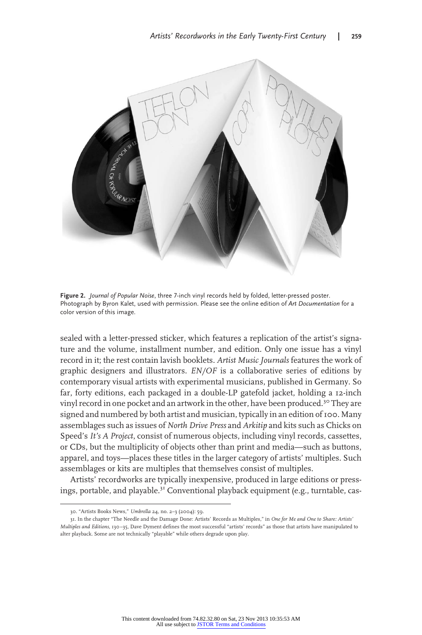

**Figure 2.** *Journal of Popular Noise*, three 7-inch vinyl records held by folded, letter-pressed poster. Photograph by Byron Kalet, used with permission. Please see the online edition of *Art Documentation* for a color version of this image.

sealed with a letter-pressed sticker, which features a replication of the artist's signature and the volume, installment number, and edition. Only one issue has a vinyl record in it; the rest contain lavish booklets. *Artist Music Journals* features the work of graphic designers and illustrators. *EN/OF* is a collaborative series of editions by contemporary visual artists with experimental musicians, published in Germany. So far, forty editions, each packaged in a double-LP gatefold jacket, holding a 12-inch vinyl record in one pocket and an artwork in the other, have been produced.<sup>30</sup> They are signed and numbered by both artist and musician, typically in an edition of 100. Many assemblages such as issues of *North Drive Press* and *Arkitip* and kits such as Chicks on Speed's *It's A Project*, consist of numerous objects, including vinyl records, cassettes, or CDs, but the multiplicity of objects other than print and media—such as buttons, apparel, and toys—places these titles in the larger category of artists' multiples. Such assemblages or kits are multiples that themselves consist of multiples.

Artists' recordworks are typically inexpensive, produced in large editions or pressings, portable, and playable.<sup>31</sup> Conventional playback equipment (e.g., turntable, cas-

<sup>30. &</sup>quot;Artists Books News," *Umbrella* 24, no. 2–3 (2004): 59.

<sup>3</sup>1. In the chapter "The Needle and the Damage Done: Artists' Records as Multiples," in *One for Me and One to Share: Artists' Multiples and Editions*, 130 –35, Dave Dyment defines the most successful "artists' records" as those that artists have manipulated to alter playback. Some are not technically "playable" while others degrade upon play.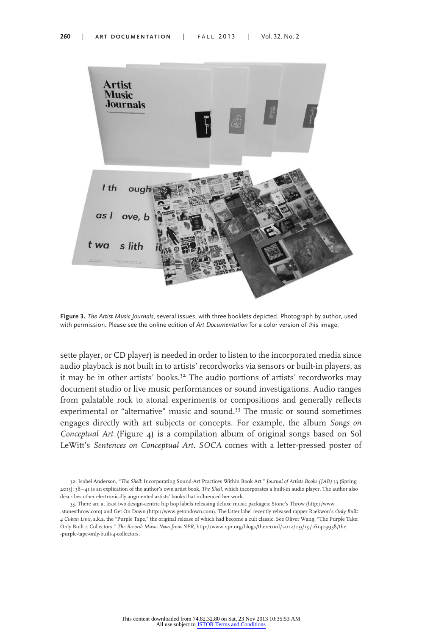

**Figure 3.** *The Artist Music Journals*, several issues, with three booklets depicted. Photograph by author, used with permission. Please see the online edition of *Art Documentation* for a color version of this image.

sette player, or CD player) is needed in order to listen to the incorporated media since audio playback is not built in to artists' recordworks via sensors or built-in players, as it may be in other artists' books.<sup>32</sup> The audio portions of artists' recordworks may document studio or live music performances or sound investigations. Audio ranges from palatable rock to atonal experiments or compositions and generally reflects experimental or "alternative" music and sound.<sup>33</sup> The music or sound sometimes engages directly with art subjects or concepts. For example, the album *Songs on Conceptual Art* (Figure 4) is a compilation album of original songs based on Sol LeWitt's *Sentences on Conceptual Art*. *SOCA* comes with a letter-pressed poster of

<sup>32.</sup> Isobel Anderson, "*The Shell*: Incorporating Sound-Art Practices Within Book Art," *Journal of Artists Books (JAB)* 33 (Spring 2013): 38 – 41 is an explication of the author's own artist book, *The Shell*, which incorporates a built-in audio player. The author also describes other electronically augmented artists' books that influenced her work.

<sup>33.</sup> There are at least two design-centric hip hop labels releasing deluxe music packages: Stone's Throw [\(http://www](http://www.stonesthrow.com) [.stonesthrow.com\)](http://www.stonesthrow.com) and Get On Down [\(http://www.getondown.com\)](http://www.getondown.com). The latter label recently released rapper Raekwon's *Only Built 4 Cuban Linx*, a.k.a. the "Purple Tape," the original release of which had become a cult classic. See Oliver Wang, "The Purple Take: Only Built 4 Collectors," *The Record: Music News from NPR*, [http://www.npr.org/blogs/therecord/20](http://www.npr.org/blogs/therecord/2012/09/19/161403938/the-purple-tape-only-built-4-collectors)12/09/19/161403938/the [-purple-tape-only-built-4-collectors.](http://www.npr.org/blogs/therecord/2012/09/19/161403938/the-purple-tape-only-built-4-collectors)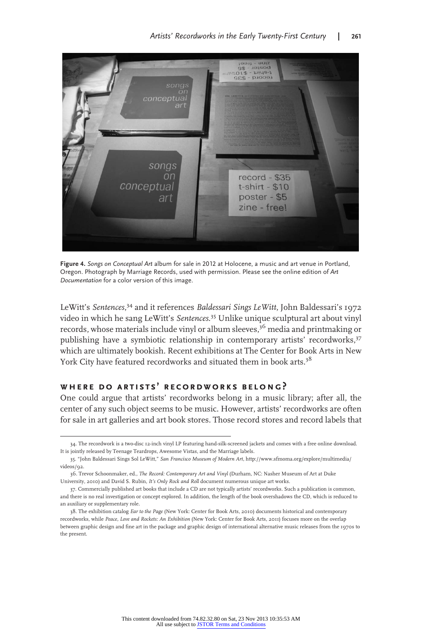

**Figure 4.** *Songs on Conceptual Art* album for sale in 2012 at Holocene, a music and art venue in Portland, Oregon. Photograph by Marriage Records, used with permission. Please see the online edition of *Art Documentation* for a color version of this image.

LeWitt's *Sentences*, <sup>34</sup> and it references *Baldessari Sings LeWitt*, John Baldessari's 1972 video in which he sang LeWitt's *Sentences*. <sup>35</sup> Unlike unique sculptural art about vinyl records, whose materials include vinyl or album sleeves,  $3^6$  media and printmaking or publishing have a symbiotic relationship in contemporary artists' recordworks,<sup>37</sup> which are ultimately bookish. Recent exhibitions at The Center for Book Arts in New York City have featured recordworks and situated them in book arts.<sup>38</sup>

## **where do artists' recordworks belong?**

One could argue that artists' recordworks belong in a music library; after all, the center of any such object seems to be music. However, artists' recordworks are often for sale in art galleries and art book stores. Those record stores and record labels that

<sup>34.</sup> The recordwork is a two-disc 12-inch vinyl LP featuring hand-silk-screened jackets and comes with a free online download. It is jointly released by Teenage Teardrops, Awesome Vistas, and the Marriage labels.

<sup>35. &</sup>quot;John Baldessari Sings Sol LeWitt," *San Francisco Museum of Modern Art*, [http://www.sfmoma.org/explore/multimedia/](http://www.sfmoma.org/explore/multimedia/videos/92) [videos/92.](http://www.sfmoma.org/explore/multimedia/videos/92)

<sup>36.</sup> Trevor Schoonmaker, ed., *The Record: Contemporary Art and Vinyl* (Durham, NC: Nasher Museum of Art at Duke University, 2010) and David S. Rubin, *It's Only Rock and Roll* document numerous unique art works.

<sup>37.</sup> Commercially published art books that include a CD are not typically artists' recordworks. Such a publication is common, and there is no real investigation or concept explored. In addition, the length of the book overshadows the CD, which is reduced to an auxiliary or supplementary role.

<sup>38.</sup> The exhibition catalog *Ear to the Page* (New York: Center for Book Arts, 2010) documents historical and contemporary recordworks, while *Peace, Love and Rockets: An Exhibition* (New York: Center for Book Arts, 2011) focuses more on the overlap between graphic design and fine art in the package and graphic design of international alternative music releases from the 1970s to the present.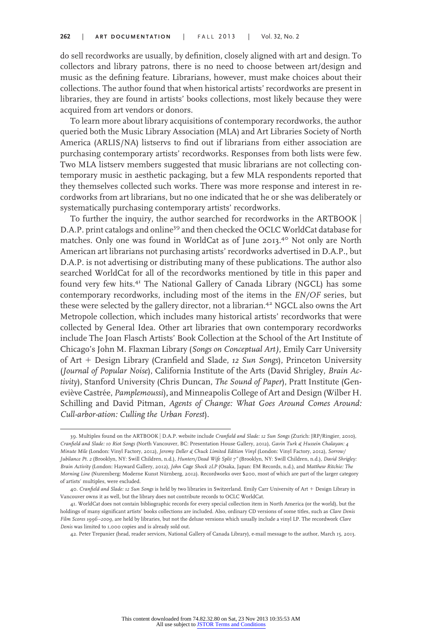do sell recordworks are usually, by definition, closely aligned with art and design. To collectors and library patrons, there is no need to choose between art/design and music as the defining feature. Librarians, however, must make choices about their collections. The author found that when historical artists' recordworks are present in libraries, they are found in artists' books collections, most likely because they were acquired from art vendors or donors.

To learn more about library acquisitions of contemporary recordworks, the author queried both the Music Library Association (MLA) and Art Libraries Society of North America (ARLIS/NA) listservs to find out if librarians from either association are purchasing contemporary artists' recordworks. Responses from both lists were few. Two MLA listserv members suggested that music librarians are not collecting contemporary music in aesthetic packaging, but a few MLA respondents reported that they themselves collected such works. There was more response and interest in recordworks from art librarians, but no one indicated that he or she was deliberately or systematically purchasing contemporary artists' recordworks.

To further the inquiry, the author searched for recordworks in the ARTBOOK D.A.P. print catalogs and online<sup>39</sup> and then checked the OCLC WorldCat database for matches. Only one was found in WorldCat as of June 2013.<sup>40</sup> Not only are North American art librarians not purchasing artists' recordworks advertised in D.A.P., but D.A.P. is not advertising or distributing many of these publications. The author also searched WorldCat for all of the recordworks mentioned by title in this paper and found very few hits.<sup>41</sup> The National Gallery of Canada Library (NGCL) has some contemporary recordworks, including most of the items in the *EN/OF* series, but these were selected by the gallery director, not a librarian.<sup>42</sup> NGCL also owns the Art Metropole collection, which includes many historical artists' recordworks that were collected by General Idea. Other art libraries that own contemporary recordworks include The Joan Flasch Artists' Book Collection at the School of the Art Institute of Chicago's John M. Flaxman Library (*Songs on Conceptual Art)*, Emily Carr University of Art Design Library (Cranfield and Slade, *12 Sun Songs*), Princeton University (*Journal of Popular Noise*), California Institute of the Arts (David Shrigley, *Brain Activity*), Stanford University (Chris Duncan, *The Sound of Paper*), Pratt Institute (Geneviève Castrée, *Pamplemoussi*), and Minneapolis College of Art and Design (Wilber H. Schilling and David Pitman, *Agents of Change: What Goes Around Comes Around: Cull-arbor-ation: Culling the Urban Forest*).

<sup>39.</sup> Multiples found on the ARTBOOK D.A.P. website include *Cranfield and Slade: 12 Sun Songs* (Zurich: JRP/Ringier, 2010), *Cranfield and Slade: 10 Riot Songs* (North Vancouver, BC: Presentation House Gallery, 2012), *Gavin Turk & Hussein Chalayan: 4 Minute Mile* (London: Vinyl Factory, 2012), *Jeremy Deller & Chuck Limited Edition Vinyl* (London: Vinyl Factory, 2012), *Sorrow/ Jubilance Pt. 2* (Brooklyn, NY: Swill Children, n.d.), *Hunters/Dead Wife Split 7"* (Brooklyn, NY: Swill Children, n.d.), *David Shrigley: Brain Activity* (London: Hayward Gallery, 2012), *John Cage Shock 2LP* (Osaka, Japan: EM Records, n.d.), and *Matthew Ritchie: The Morning Line* (Nuremberg: Moderne Kunst Nürnberg, 2012). Recordworks over \$200, most of which are part of the larger category of artists' multiples, were excluded.

<sup>40.</sup> Cranfield and Slade: 12 Sun Songs is held by two libraries in Switzerland. Emily Carr University of Art + Design Library in Vancouver owns it as well, but the library does not contribute records to OCLC WorldCat.

<sup>4</sup>1. WorldCat does not contain bibliographic records for every special collection item in North America (or the world), but the holdings of many significant artists' books collections are included. Also, ordinary CD versions of some titles, such as *Clare Denis Film Scores 1996 –2009*, are held by libraries, but not the deluxe versions which usually include a vinyl LP. The recordwork *Clare Denis* was limited to 1,000 copies and is already sold out.

<sup>42.</sup> Peter Trepanier (head, reader services, National Gallery of Canada Library), e-mail message to the author, March 15, 2013.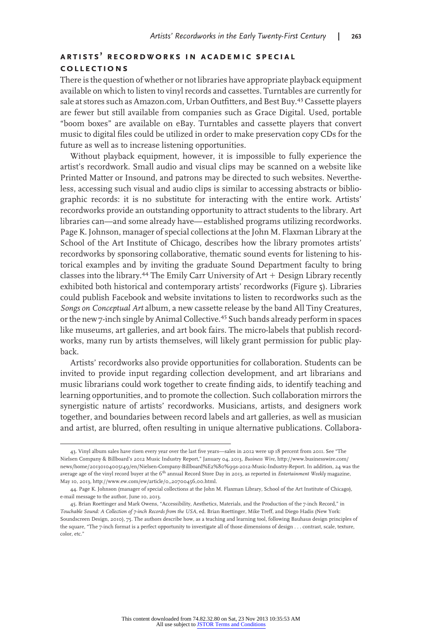## **artists' recordworks in academic special collections**

There is the question of whether or not libraries have appropriate playback equipment available on which to listen to vinyl records and cassettes. Turntables are currently for sale at stores such as Amazon.com, Urban Outfitters, and Best Buy.<sup>43</sup> Cassette players are fewer but still available from companies such as Grace Digital. Used, portable "boom boxes" are available on eBay. Turntables and cassette players that convert music to digital files could be utilized in order to make preservation copy CDs for the future as well as to increase listening opportunities.

Without playback equipment, however, it is impossible to fully experience the artist's recordwork. Small audio and visual clips may be scanned on a website like Printed Matter or Insound, and patrons may be directed to such websites. Nevertheless, accessing such visual and audio clips is similar to accessing abstracts or bibliographic records: it is no substitute for interacting with the entire work. Artists' recordworks provide an outstanding opportunity to attract students to the library. Art libraries can—and some already have— established programs utilizing recordworks. Page K. Johnson, manager of special collections at the John M. Flaxman Library at the School of the Art Institute of Chicago, describes how the library promotes artists' recordworks by sponsoring collaborative, thematic sound events for listening to historical examples and by inviting the graduate Sound Department faculty to bring classes into the library.<sup>44</sup> The Emily Carr University of  $Art + Design Library$  recently exhibited both historical and contemporary artists' recordworks (Figure 5). Libraries could publish Facebook and website invitations to listen to recordworks such as the *Songs on Conceptual Art* album, a new cassette release by the band All Tiny Creatures, or the new 7-inch single by Animal Collective.45 Such bands already perform in spaces like museums, art galleries, and art book fairs. The micro-labels that publish recordworks, many run by artists themselves, will likely grant permission for public playback.

Artists' recordworks also provide opportunities for collaboration. Students can be invited to provide input regarding collection development, and art librarians and music librarians could work together to create finding aids, to identify teaching and learning opportunities, and to promote the collection. Such collaboration mirrors the synergistic nature of artists' recordworks. Musicians, artists, and designers work together, and boundaries between record labels and art galleries, as well as musician and artist, are blurred, often resulting in unique alternative publications. Collabora-

<sup>43.</sup> Vinyl album sales have risen every year over the last five years—sales in 2012 were up 18 percent from 2011. See "The Nielsen Company & Billboard's 2012 Music Industry Report," January 04, 2013, *Business Wire*, [http://www.businesswire.com/](http://www.businesswire.com/news/home/20130104005149/en/Nielsen-Company-Billboard%E2%80%99s-2012-Music-Industry-Report) news/home/201301040051[49/en/Nielsen-Company-Billboard%E2%80%99s-20](http://www.businesswire.com/news/home/20130104005149/en/Nielsen-Company-Billboard%E2%80%99s-2012-Music-Industry-Report)12-Music-Industry-Report. In addition, 24 was the average age of the vinyl record buyer at the 6<sup>th</sup> annual Record Store Day in 2013, as reported in *Entertainment Weekly* magazine, May 10, 2013, [http://www.ew.com/ew/article/0,,20700456,00.html.](http://www.ew.com/ew/article/0,,20700456,00.html)

<sup>44.</sup> Page K. Johnson (manager of special collections at the John M. Flaxman Library, School of the Art Institute of Chicago), e-mail message to the author, June 10, 2013.

<sup>45.</sup> Brian Roettinger and Mark Owens, "Accessibility, Aesthetics, Materials, and the Production of the 7-inch Record," in *Touchable Sound: A Collection of 7-inch Records from the USA*, ed. Brian Roettinger, Mike Treff, and Diego Hadis (New York: Soundscreen Design, 2010), 75. The authors describe how, as a teaching and learning tool, following Bauhaus design principles of the square, "The 7-inch format is a perfect opportunity to investigate all of those dimensions of design... contrast, scale, texture, color, etc."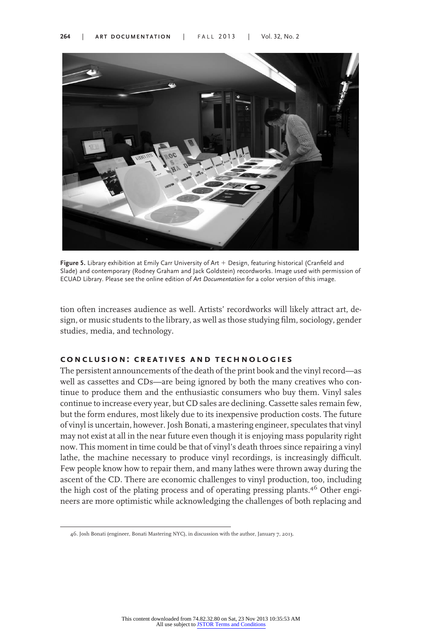

Figure 5. Library exhibition at Emily Carr University of Art + Design, featuring historical (Cranfield and Slade) and contemporary (Rodney Graham and Jack Goldstein) recordworks. Image used with permission of ECUAD Library. Please see the online edition of *Art Documentation* for a color version of this image.

tion often increases audience as well. Artists' recordworks will likely attract art, design, or music students to the library, as well as those studying film, sociology, gender studies, media, and technology.

#### **conclusion: creatives and technologies**

The persistent announcements of the death of the print book and the vinyl record—as well as cassettes and CDs—are being ignored by both the many creatives who continue to produce them and the enthusiastic consumers who buy them. Vinyl sales continue to increase every year, but CD sales are declining. Cassette sales remain few, but the form endures, most likely due to its inexpensive production costs. The future of vinyl is uncertain, however. Josh Bonati, a mastering engineer, speculates that vinyl may not exist at all in the near future even though it is enjoying mass popularity right now. This moment in time could be that of vinyl's death throes since repairing a vinyl lathe, the machine necessary to produce vinyl recordings, is increasingly difficult. Few people know how to repair them, and many lathes were thrown away during the ascent of the CD. There are economic challenges to vinyl production, too, including the high cost of the plating process and of operating pressing plants.<sup>46</sup> Other engineers are more optimistic while acknowledging the challenges of both replacing and

All use subject to [JSTOR Terms and Conditions](http://www.jstor.org/page/info/about/policies/terms.jsp)

<sup>46.</sup> Josh Bonati (engineer, Bonati Mastering NYC), in discussion with the author, January 7, 2013.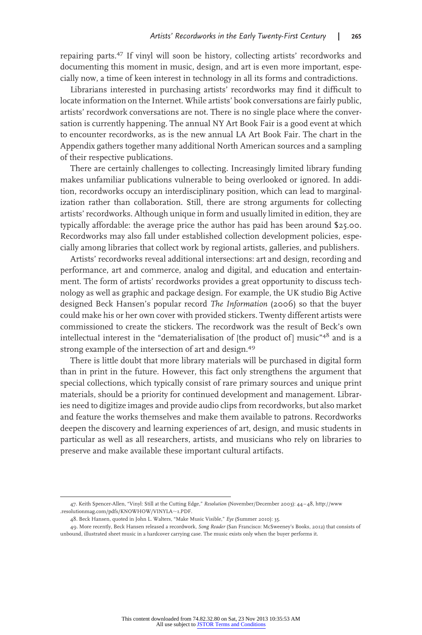repairing parts.47 If vinyl will soon be history, collecting artists' recordworks and documenting this moment in music, design, and art is even more important, especially now, a time of keen interest in technology in all its forms and contradictions.

Librarians interested in purchasing artists' recordworks may find it difficult to locate information on the Internet. While artists' book conversations are fairly public, artists' recordwork conversations are not. There is no single place where the conversation is currently happening. The annual NY Art Book Fair is a good event at which to encounter recordworks, as is the new annual LA Art Book Fair. The chart in the Appendix gathers together many additional North American sources and a sampling of their respective publications.

There are certainly challenges to collecting. Increasingly limited library funding makes unfamiliar publications vulnerable to being overlooked or ignored. In addition, recordworks occupy an interdisciplinary position, which can lead to marginalization rather than collaboration. Still, there are strong arguments for collecting artists' recordworks. Although unique in form and usually limited in edition, they are typically affordable: the average price the author has paid has been around \$25.00. Recordworks may also fall under established collection development policies, especially among libraries that collect work by regional artists, galleries, and publishers.

Artists' recordworks reveal additional intersections: art and design, recording and performance, art and commerce, analog and digital, and education and entertainment. The form of artists' recordworks provides a great opportunity to discuss technology as well as graphic and package design. For example, the UK studio Big Active designed Beck Hansen's popular record *The Information* (2006) so that the buyer could make his or her own cover with provided stickers. Twenty different artists were commissioned to create the stickers. The recordwork was the result of Beck's own intellectual interest in the "dematerialisation of [the product of] music"<sup>48</sup> and is a strong example of the intersection of art and design.<sup>49</sup>

There is little doubt that more library materials will be purchased in digital form than in print in the future. However, this fact only strengthens the argument that special collections, which typically consist of rare primary sources and unique print materials, should be a priority for continued development and management. Libraries need to digitize images and provide audio clips from recordworks, but also market and feature the works themselves and make them available to patrons. Recordworks deepen the discovery and learning experiences of art, design, and music students in particular as well as all researchers, artists, and musicians who rely on libraries to preserve and make available these important cultural artifacts.

<sup>47.</sup> Keith Spencer-Allen, "Vinyl: Still at the Cutting Edge," *Resolution* (November/December 2003): 44 – 48, [http://www](http://www.resolutionmag.com/pdfs/KNOWHOW/VINYLA∼1.PDF) [.resolutionmag.com/pdfs/KNOWHOW/VINYLA](http://www.resolutionmag.com/pdfs/KNOWHOW/VINYLA∼1.PDF)~1.PDF.

<sup>48.</sup> Beck Hansen, quoted in John L. Walters, "Make Music Visible," *Eye* (Summer 2010): 35.

<sup>49.</sup> More recently, Beck Hansen released a recordwork, *Song Reader* (San Francisco: McSweeney's Books, 2012) that consists of unbound, illustrated sheet music in a hardcover carrying case. The music exists only when the buyer performs it.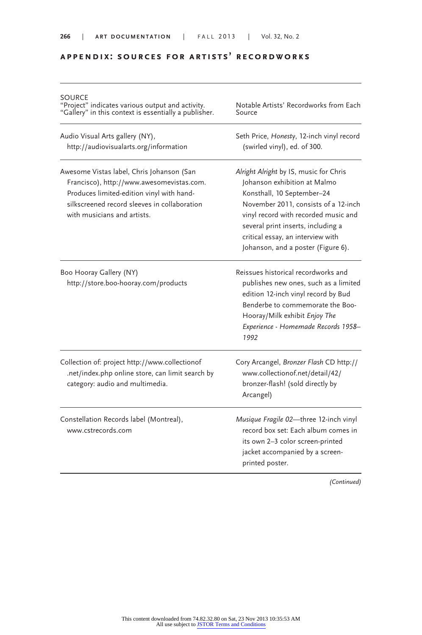| <b>SOURCE</b><br>"Project" indicates various output and activity.<br>"Gallery" in this context is essentially a publisher.                                                                                         | Notable Artists' Recordworks from Each<br>Source                                                                                                                                                                                                                                                      |
|--------------------------------------------------------------------------------------------------------------------------------------------------------------------------------------------------------------------|-------------------------------------------------------------------------------------------------------------------------------------------------------------------------------------------------------------------------------------------------------------------------------------------------------|
| Audio Visual Arts gallery (NY),<br>http://audiovisualarts.org/information                                                                                                                                          | Seth Price, Honesty, 12-inch vinyl record<br>(swirled vinyl), ed. of 300.                                                                                                                                                                                                                             |
| Awesome Vistas label, Chris Johanson (San<br>Francisco), http://www.awesomevistas.com.<br>Produces limited-edition vinyl with hand-<br>silkscreened record sleeves in collaboration<br>with musicians and artists. | Alright Alright by IS, music for Chris<br>Johanson exhibition at Malmo<br>Konsthall, 10 September-24<br>November 2011, consists of a 12-inch<br>vinyl record with recorded music and<br>several print inserts, including a<br>critical essay, an interview with<br>Johanson, and a poster (Figure 6). |
| Boo Hooray Gallery (NY)<br>http://store.boo-hooray.com/products                                                                                                                                                    | Reissues historical recordworks and<br>publishes new ones, such as a limited<br>edition 12-inch vinyl record by Bud<br>Benderbe to commemorate the Boo-<br>Hooray/Milk exhibit Enjoy The<br>Experience - Homemade Records 1958-<br>1992                                                               |
| Collection of: project http://www.collectionof<br>.net/index.php online store, can limit search by<br>category: audio and multimedia.                                                                              | Cory Arcangel, Bronzer Flash CD http://<br>www.collectionof.net/detail/42/<br>bronzer-flash! (sold directly by<br>Arcangel)                                                                                                                                                                           |
| Constellation Records label (Montreal),<br>www.cstrecords.com                                                                                                                                                      | Musique Fragile 02-three 12-inch vinyl<br>record box set: Each album comes in<br>its own 2-3 color screen-printed<br>jacket accompanied by a screen-<br>printed poster.                                                                                                                               |

## **appendix: sources for artists' recordworks**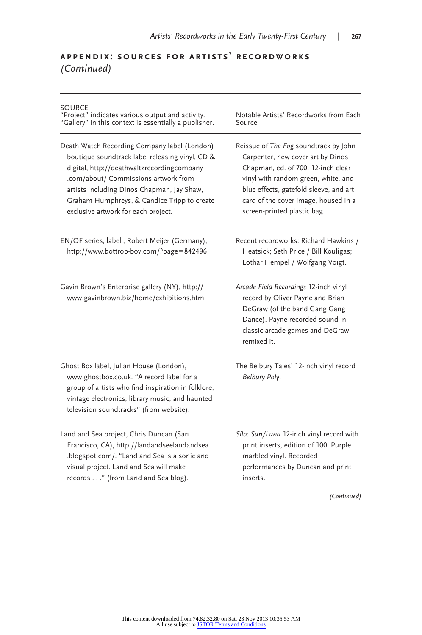| <b>SOURCE</b>                                                                                                                                                                                                                            | Notable Artists' Recordworks from Each                                                                                                                                                          |
|------------------------------------------------------------------------------------------------------------------------------------------------------------------------------------------------------------------------------------------|-------------------------------------------------------------------------------------------------------------------------------------------------------------------------------------------------|
| "Project" indicates various output and activity.<br>"Gallery" in this context is essentially a publisher.                                                                                                                                | Source                                                                                                                                                                                          |
| Death Watch Recording Company label (London)                                                                                                                                                                                             | Reissue of The Fog soundtrack by John                                                                                                                                                           |
| boutique soundtrack label releasing vinyl, CD &                                                                                                                                                                                          | Carpenter, new cover art by Dinos                                                                                                                                                               |
| digital, http://deathwaltzrecordingcompany                                                                                                                                                                                               | Chapman, ed. of 700. 12-inch clear                                                                                                                                                              |
| .com/about/ Commissions artwork from                                                                                                                                                                                                     | vinyl with random green, white, and                                                                                                                                                             |
| artists including Dinos Chapman, Jay Shaw,                                                                                                                                                                                               | blue effects, gatefold sleeve, and art                                                                                                                                                          |
| Graham Humphreys, & Candice Tripp to create                                                                                                                                                                                              | card of the cover image, housed in a                                                                                                                                                            |
| exclusive artwork for each project.                                                                                                                                                                                                      | screen-printed plastic bag.                                                                                                                                                                     |
| EN/OF series, label, Robert Meijer (Germany),<br>http://www.bottrop-boy.com/?page=842496                                                                                                                                                 | Recent recordworks: Richard Hawkins /<br>Heatsick; Seth Price / Bill Kouligas;<br>Lothar Hempel / Wolfgang Voigt.                                                                               |
| Gavin Brown's Enterprise gallery (NY), http://<br>www.gavinbrown.biz/home/exhibitions.html                                                                                                                                               | Arcade Field Recordings 12-inch vinyl<br>record by Oliver Payne and Brian<br>DeGraw (of the band Gang Gang<br>Dance). Payne recorded sound in<br>classic arcade games and DeGraw<br>remixed it. |
| Ghost Box label, Julian House (London),<br>www.ghostbox.co.uk. "A record label for a<br>group of artists who find inspiration in folklore,<br>vintage electronics, library music, and haunted<br>television soundtracks" (from website). | The Belbury Tales' 12-inch vinyl record<br>Belbury Poly.                                                                                                                                        |
| Land and Sea project, Chris Duncan (San                                                                                                                                                                                                  | Silo: Sun/Luna 12-inch vinyl record with                                                                                                                                                        |
| Francisco, CA), http://landandseelandandsea                                                                                                                                                                                              | print inserts, edition of 100. Purple                                                                                                                                                           |
| .blogspot.com/. "Land and Sea is a sonic and                                                                                                                                                                                             | marbled vinyl. Recorded                                                                                                                                                                         |
| visual project. Land and Sea will make                                                                                                                                                                                                   | performances by Duncan and print                                                                                                                                                                |
| records" (from Land and Sea blog).                                                                                                                                                                                                       | inserts.                                                                                                                                                                                        |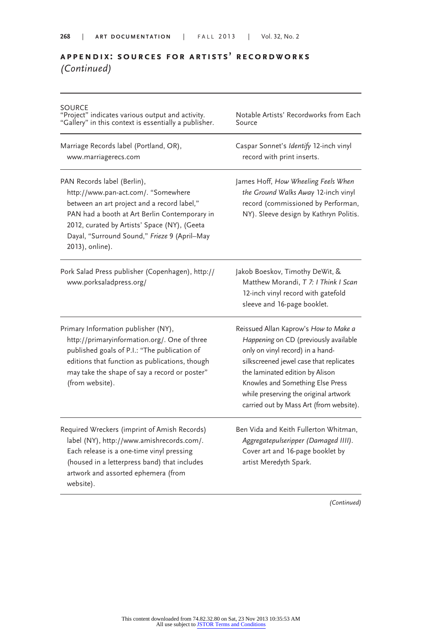| 268 | ART DOCUMENTATION | <b>FALL 2013</b> | Vol. 32, No. 2 |
|-----|-------------------|------------------|----------------|
|-----|-------------------|------------------|----------------|

| SOURCE<br>"Project" indicates various output and activity.<br>"Gallery" in this context is essentially a publisher.                                                                                                                                                                   | Notable Artists' Recordworks from Each<br>Source<br>Caspar Sonnet's Identify 12-inch vinyl<br>record with print inserts.                                                                                                                                                                                                 |  |  |
|---------------------------------------------------------------------------------------------------------------------------------------------------------------------------------------------------------------------------------------------------------------------------------------|--------------------------------------------------------------------------------------------------------------------------------------------------------------------------------------------------------------------------------------------------------------------------------------------------------------------------|--|--|
| Marriage Records label (Portland, OR),<br>www.marriagerecs.com                                                                                                                                                                                                                        |                                                                                                                                                                                                                                                                                                                          |  |  |
| PAN Records label (Berlin),<br>http://www.pan-act.com/. "Somewhere<br>between an art project and a record label,"<br>PAN had a booth at Art Berlin Contemporary in<br>2012, curated by Artists' Space (NY), (Geeta<br>Dayal, "Surround Sound," Frieze 9 (April-May<br>2013), online). | James Hoff, How Wheeling Feels When<br>the Ground Walks Away 12-inch vinyl<br>record (commissioned by Performan,<br>NY). Sleeve design by Kathryn Politis.                                                                                                                                                               |  |  |
| Pork Salad Press publisher (Copenhagen), http://<br>www.porksaladpress.org/                                                                                                                                                                                                           | Jakob Boeskov, Timothy DeWit, &<br>Matthew Morandi, T 7: I Think I Scan<br>12-inch vinyl record with gatefold<br>sleeve and 16-page booklet.                                                                                                                                                                             |  |  |
| Primary Information publisher (NY),<br>http://primaryinformation.org/. One of three<br>published goals of P.I.: "The publication of<br>editions that function as publications, though<br>may take the shape of say a record or poster"<br>(from website).                             | Reissued Allan Kaprow's How to Make a<br>Happening on CD (previously available<br>only on vinyl record) in a hand-<br>silkscreened jewel case that replicates<br>the laminated edition by Alison<br>Knowles and Something Else Press<br>while preserving the original artwork<br>carried out by Mass Art (from website). |  |  |
| Required Wreckers (imprint of Amish Records)<br>label (NY), http://www.amishrecords.com/.<br>Each release is a one-time vinyl pressing<br>(housed in a letterpress band) that includes<br>artwork and assorted ephemera (from<br>website).                                            | Ben Vida and Keith Fullerton Whitman,<br>Aggregatepulseripper (Damaged IIII).<br>Cover art and 16-page booklet by<br>artist Meredyth Spark.                                                                                                                                                                              |  |  |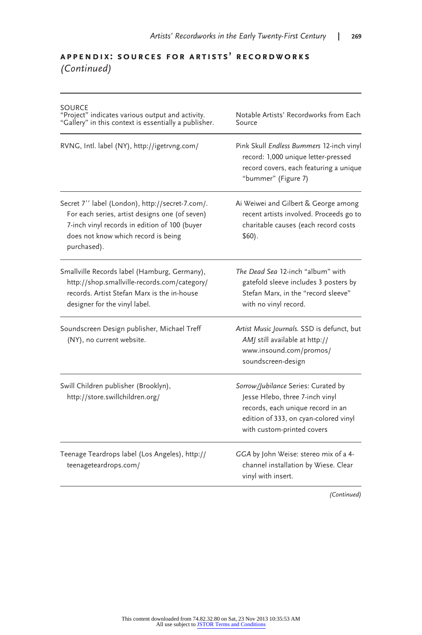| <b>SOURCE</b><br>"Project" indicates various output and activity.<br>"Gallery" in this context is essentially a publisher.                                                                               | Notable Artists' Recordworks from Each<br>Source<br>Pink Skull Endless Bummers 12-inch vinyl<br>record: 1,000 unique letter-pressed<br>record covers, each featuring a unique<br>"bummer" (Figure 7) |  |  |
|----------------------------------------------------------------------------------------------------------------------------------------------------------------------------------------------------------|------------------------------------------------------------------------------------------------------------------------------------------------------------------------------------------------------|--|--|
| RVNG, Intl. label (NY), http://igetrvng.com/                                                                                                                                                             |                                                                                                                                                                                                      |  |  |
| Secret 7" label (London), http://secret-7.com/.<br>For each series, artist designs one (of seven)<br>7-inch vinyl records in edition of 100 (buyer<br>does not know which record is being<br>purchased). | Ai Weiwei and Gilbert & George among<br>recent artists involved. Proceeds go to<br>charitable causes (each record costs<br>$$60$ ).                                                                  |  |  |
| Smallville Records label (Hamburg, Germany),<br>http://shop.smallville-records.com/category/<br>records. Artist Stefan Marx is the in-house<br>designer for the vinyl label.                             | The Dead Sea 12-inch "album" with<br>gatefold sleeve includes 3 posters by<br>Stefan Marx, in the "record sleeve"<br>with no vinyl record.                                                           |  |  |
| Soundscreen Design publisher, Michael Treff<br>(NY), no current website.                                                                                                                                 | Artist Music Journals. SSD is defunct, but<br>AMJ still available at http://<br>www.insound.com/promos/<br>soundscreen-design                                                                        |  |  |
| Swill Children publisher (Brooklyn),<br>http://store.swillchildren.org/                                                                                                                                  | Sorrow/Jubilance Series: Curated by<br>Jesse Hlebo, three 7-inch vinyl<br>records, each unique record in an<br>edition of 333, on cyan-colored vinyl<br>with custom-printed covers                   |  |  |
| Teenage Teardrops label (Los Angeles), http://<br>teenageteardrops.com/                                                                                                                                  | GGA by John Weise: stereo mix of a 4-<br>channel installation by Wiese. Clear<br>vinyl with insert.                                                                                                  |  |  |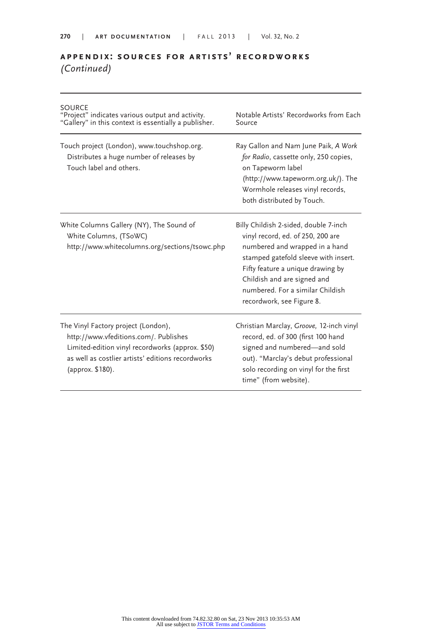| 270 | ART DOCUMENTATION |  | <b>FALL 2013</b> |  | Vol. 32, No. 2 |
|-----|-------------------|--|------------------|--|----------------|
|-----|-------------------|--|------------------|--|----------------|

| <b>SOURCE</b><br>"Project" indicates various output and activity.<br>"Gallery" in this context is essentially a publisher.                                                                                | Notable Artists' Recordworks from Each<br>Source                                                                                                                                                                                                                                          |  |  |
|-----------------------------------------------------------------------------------------------------------------------------------------------------------------------------------------------------------|-------------------------------------------------------------------------------------------------------------------------------------------------------------------------------------------------------------------------------------------------------------------------------------------|--|--|
| Touch project (London), www.touchshop.org.<br>Distributes a huge number of releases by<br>Touch label and others.                                                                                         | Ray Gallon and Nam June Paik, A Work<br>for Radio, cassette only, 250 copies,<br>on Tapeworm label<br>(http://www.tapeworm.org.uk/). The<br>Wormhole releases vinyl records,<br>both distributed by Touch.                                                                                |  |  |
| White Columns Gallery (NY), The Sound of<br>White Columns, (TSoWC)<br>http://www.whitecolumns.org/sections/tsowc.php                                                                                      | Billy Childish 2-sided, double 7-inch<br>vinyl record, ed. of 250, 200 are<br>numbered and wrapped in a hand<br>stamped gatefold sleeve with insert.<br>Fifty feature a unique drawing by<br>Childish and are signed and<br>numbered. For a similar Childish<br>recordwork, see Figure 8. |  |  |
| The Vinyl Factory project (London),<br>http://www.vfeditions.com/. Publishes<br>Limited-edition vinyl recordworks (approx. \$50)<br>as well as costlier artists' editions recordworks<br>(approx. \$180). | Christian Marclay, Groove, 12-inch vinyl<br>record, ed. of 300 (first 100 hand<br>signed and numbered-and sold<br>out). "Marclay's debut professional<br>solo recording on vinyl for the first<br>time" (from website).                                                                   |  |  |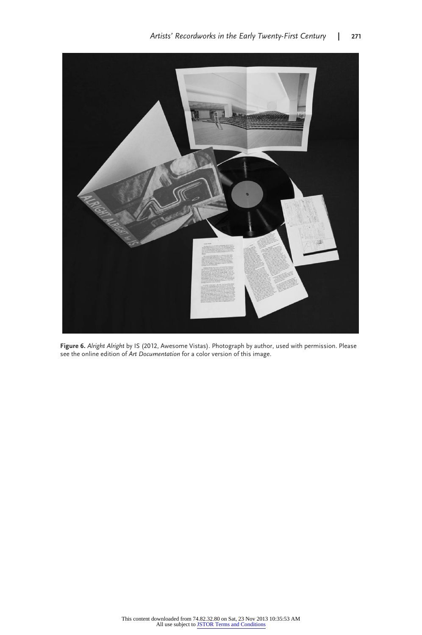

**Figure 6.** *Alright Alright* by IS (2012, Awesome Vistas). Photograph by author, used with permission. Please see the online edition of *Art Documentation* for a color version of this image.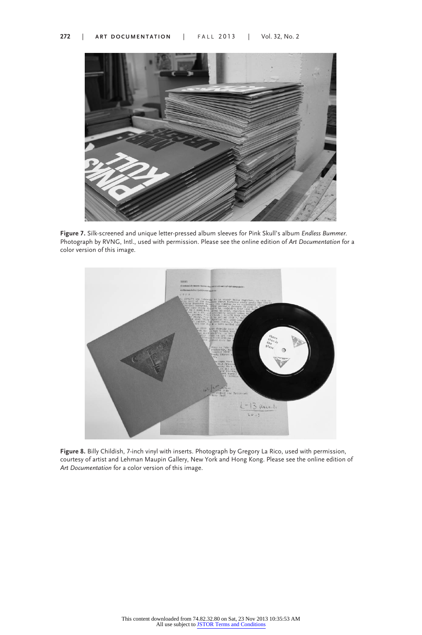

**Figure 7.** Silk-screened and unique letter-pressed album sleeves for Pink Skull's album *Endless Bummer.* Photograph by RVNG, Intl., used with permission. Please see the online edition of *Art Documentation* for a color version of this image.



**Figure 8.** Billy Childish, 7-inch vinyl with inserts. Photograph by Gregory La Rico, used with permission, courtesy of artist and Lehman Maupin Gallery, New York and Hong Kong. Please see the online edition of *Art Documentation* for a color version of this image.